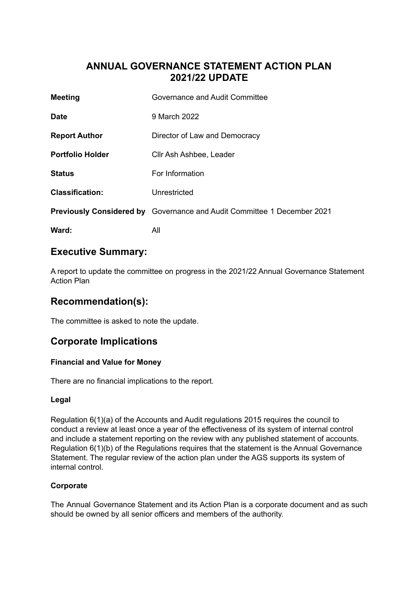# **ANNUAL GOVERNANCE STATEMENT ACTION PLAN 2021/22 UPDATE**

| <b>Meeting</b>          | Governance and Audit Committee                                                 |
|-------------------------|--------------------------------------------------------------------------------|
| <b>Date</b>             | 9 March 2022                                                                   |
| <b>Report Author</b>    | Director of Law and Democracy                                                  |
| <b>Portfolio Holder</b> | Cllr Ash Ashbee, Leader                                                        |
| <b>Status</b>           | For Information                                                                |
| <b>Classification:</b>  | Unrestricted                                                                   |
|                         | <b>Previously Considered by</b> Governance and Audit Committee 1 December 2021 |
| Ward:                   | All                                                                            |

# **Executive Summary:**

A report to update the committee on progress in the 2021/22 Annual Governance Statement Action Plan

# **Recommendation(s):**

The committee is asked to note the update.

# **Corporate Implications**

### **Financial and Value for Money**

There are no financial implications to the report.

### **Legal**

Regulation 6(1)(a) of the Accounts and Audit regulations 2015 requires the council to conduct a review at least once a year of the effectiveness of its system of internal control and include a statement reporting on the review with any published statement of accounts. Regulation 6(1)(b) of the Regulations requires that the statement is the Annual Governance Statement. The regular review of the action plan under the AGS supports its system of internal control.

## **Corporate**

The Annual Governance Statement and its Action Plan is a corporate document and as such should be owned by all senior officers and members of the authority.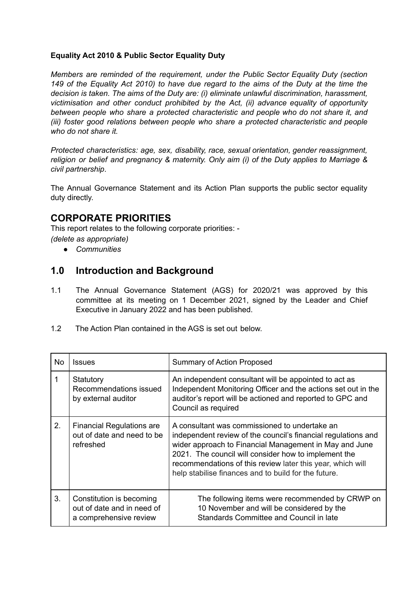#### **Equality Act 2010 & Public Sector Equality Duty**

*Members are reminded of the requirement, under the Public Sector Equality Duty (section* 149 of the Equality Act 2010) to have due regard to the aims of the Duty at the time the *decision is taken. The aims of the Duty are: (i) eliminate unlawful discrimination, harassment, victimisation and other conduct prohibited by the Act, (ii) advance equality of opportunity between people who share a protected characteristic and people who do not share it, and (iii) foster good relations between people who share a protected characteristic and people who do not share it.*

*Protected characteristics: age, sex, disability, race, sexual orientation, gender reassignment, religion or belief and pregnancy & maternity. Only aim (i) of the Duty applies to Marriage & civil partnership*.

The Annual Governance Statement and its Action Plan supports the public sector equality duty directly.

## **CORPORATE PRIORITIES**

This report relates to the following corporate priorities: - *(delete as appropriate)*

*● Communities*

## **1.0 Introduction and Background**

- 1.1 The Annual Governance Statement (AGS) for 2020/21 was approved by this committee at its meeting on 1 December 2021, signed by the Leader and Chief Executive in January 2022 and has been published.
- 1.2 The Action Plan contained in the AGS is set out below.

| No | <b>Issues</b>                                                                    | <b>Summary of Action Proposed</b>                                                                                                                                                                                                                                                                                                                      |
|----|----------------------------------------------------------------------------------|--------------------------------------------------------------------------------------------------------------------------------------------------------------------------------------------------------------------------------------------------------------------------------------------------------------------------------------------------------|
|    | Statutory<br>Recommendations issued<br>by external auditor                       | An independent consultant will be appointed to act as<br>Independent Monitoring Officer and the actions set out in the<br>auditor's report will be actioned and reported to GPC and<br>Council as required                                                                                                                                             |
| 2. | <b>Financial Regulations are</b><br>out of date and need to be<br>refreshed      | A consultant was commissioned to undertake an<br>independent review of the council's financial regulations and<br>wider approach to Financial Management in May and June<br>2021. The council will consider how to implement the<br>recommendations of this review later this year, which will<br>help stabilise finances and to build for the future. |
| 3. | Constitution is becoming<br>out of date and in need of<br>a comprehensive review | The following items were recommended by CRWP on<br>10 November and will be considered by the<br>Standards Committee and Council in late                                                                                                                                                                                                                |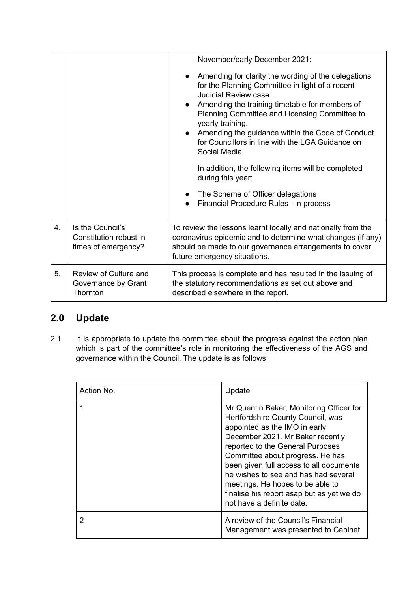|    |                                                                   | November/early December 2021:<br>Amending for clarity the wording of the delegations<br>for the Planning Committee in light of a recent<br>Judicial Review case.<br>Amending the training timetable for members of<br>Planning Committee and Licensing Committee to<br>yearly training.<br>Amending the guidance within the Code of Conduct<br>$\bullet$<br>for Councillors in line with the LGA Guidance on |  |
|----|-------------------------------------------------------------------|--------------------------------------------------------------------------------------------------------------------------------------------------------------------------------------------------------------------------------------------------------------------------------------------------------------------------------------------------------------------------------------------------------------|--|
|    |                                                                   | Social Media<br>In addition, the following items will be completed<br>during this year:<br>• The Scheme of Officer delegations<br>Financial Procedure Rules - in process<br>$\bullet$                                                                                                                                                                                                                        |  |
| 4. | Is the Council's<br>Constitution robust in<br>times of emergency? | To review the lessons learnt locally and nationally from the<br>coronavirus epidemic and to determine what changes (if any)<br>should be made to our governance arrangements to cover<br>future emergency situations.                                                                                                                                                                                        |  |
| 5. | Review of Culture and<br>Governance by Grant<br>Thornton          | This process is complete and has resulted in the issuing of<br>the statutory recommendations as set out above and<br>described elsewhere in the report.                                                                                                                                                                                                                                                      |  |

# **2.0 Update**

2.1 It is appropriate to update the committee about the progress against the action plan which is part of the committee's role in monitoring the effectiveness of the AGS and governance within the Council. The update is as follows:

| Action No. | Update                                                                                                                                                                                                                                                                                                                                                                                                                      |
|------------|-----------------------------------------------------------------------------------------------------------------------------------------------------------------------------------------------------------------------------------------------------------------------------------------------------------------------------------------------------------------------------------------------------------------------------|
|            | Mr Quentin Baker, Monitoring Officer for<br>Hertfordshire County Council, was<br>appointed as the IMO in early<br>December 2021. Mr Baker recently<br>reported to the General Purposes<br>Committee about progress. He has<br>been given full access to all documents<br>he wishes to see and has had several<br>meetings. He hopes to be able to<br>finalise his report asap but as yet we do<br>not have a definite date. |
|            | A review of the Council's Financial<br>Management was presented to Cabinet                                                                                                                                                                                                                                                                                                                                                  |